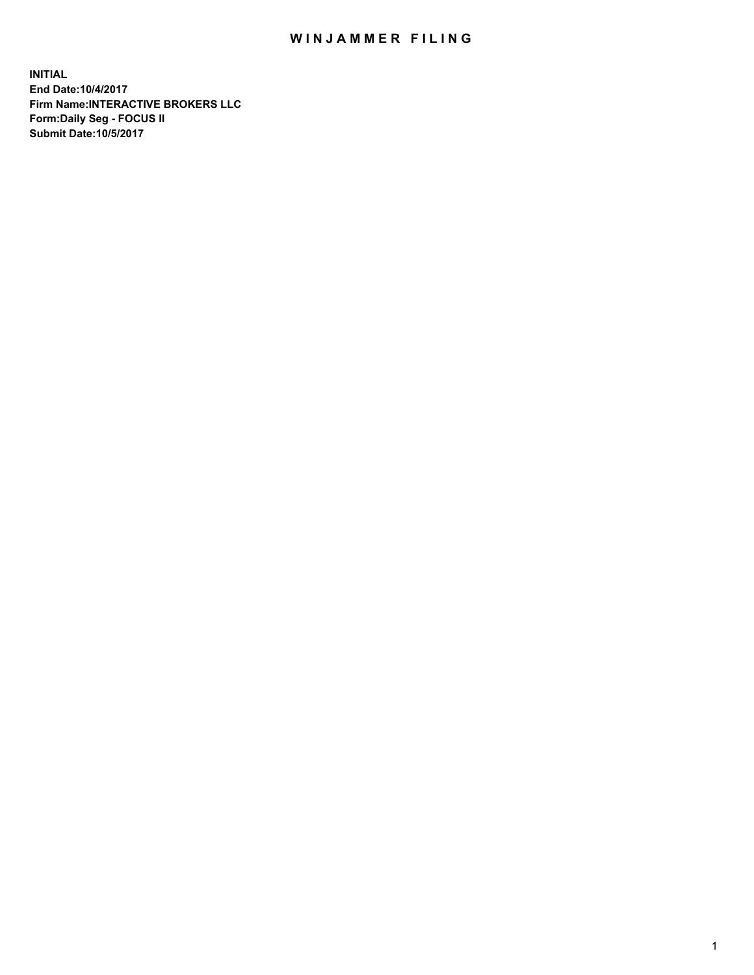## WIN JAMMER FILING

**INITIAL End Date:10/4/2017 Firm Name:INTERACTIVE BROKERS LLC Form:Daily Seg - FOCUS II Submit Date:10/5/2017**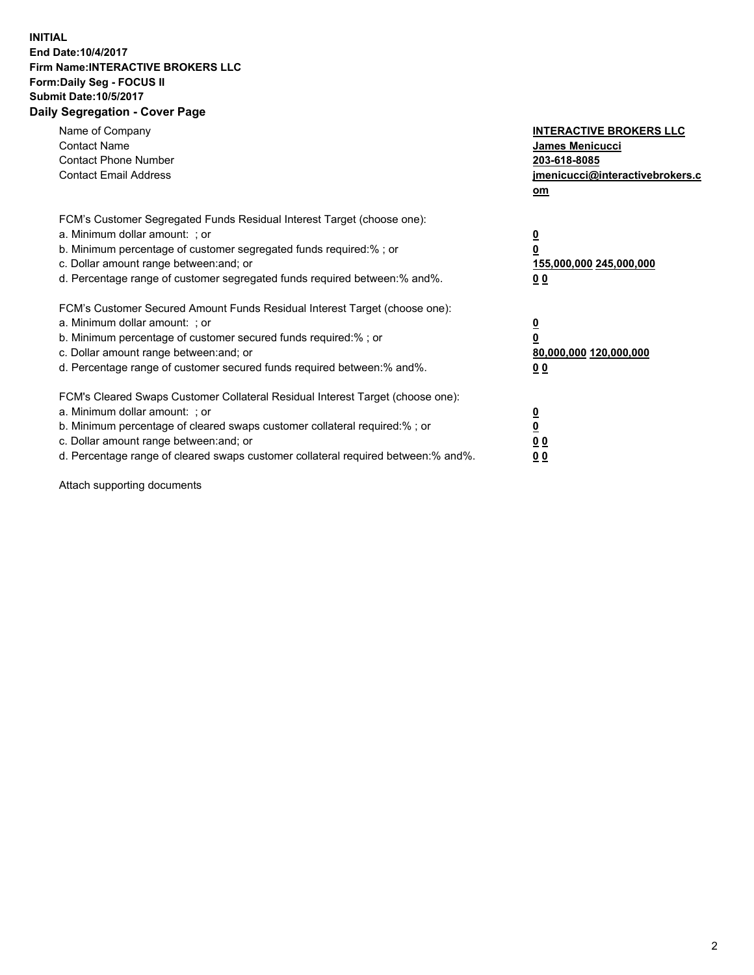## **INITIAL End Date:10/4/2017 Firm Name:INTERACTIVE BROKERS LLC Form:Daily Seg - FOCUS II Submit Date:10/5/2017 Daily Segregation - Cover Page**

| Name of Company<br><b>Contact Name</b><br><b>Contact Phone Number</b><br><b>Contact Email Address</b>                                                                                                                                                                                                                          | <b>INTERACTIVE BROKERS LLC</b><br><b>James Menicucci</b><br>203-618-8085<br>jmenicucci@interactivebrokers.c<br>om |
|--------------------------------------------------------------------------------------------------------------------------------------------------------------------------------------------------------------------------------------------------------------------------------------------------------------------------------|-------------------------------------------------------------------------------------------------------------------|
| FCM's Customer Segregated Funds Residual Interest Target (choose one):<br>a. Minimum dollar amount: ; or<br>b. Minimum percentage of customer segregated funds required:%; or<br>c. Dollar amount range between: and; or<br>d. Percentage range of customer segregated funds required between:% and%.                          | $\overline{\mathbf{0}}$<br>0<br>155,000,000 245,000,000<br>0 <sub>0</sub>                                         |
| FCM's Customer Secured Amount Funds Residual Interest Target (choose one):<br>a. Minimum dollar amount: ; or<br>b. Minimum percentage of customer secured funds required:%; or<br>c. Dollar amount range between: and; or<br>d. Percentage range of customer secured funds required between: % and %.                          | $\overline{\mathbf{0}}$<br>0<br>80,000,000 120,000,000<br>0 <sub>0</sub>                                          |
| FCM's Cleared Swaps Customer Collateral Residual Interest Target (choose one):<br>a. Minimum dollar amount: ; or<br>b. Minimum percentage of cleared swaps customer collateral required:% ; or<br>c. Dollar amount range between: and; or<br>d. Percentage range of cleared swaps customer collateral required between:% and%. | $\overline{\mathbf{0}}$<br>$\overline{\mathbf{0}}$<br>0 <sub>0</sub><br><u>00</u>                                 |

Attach supporting documents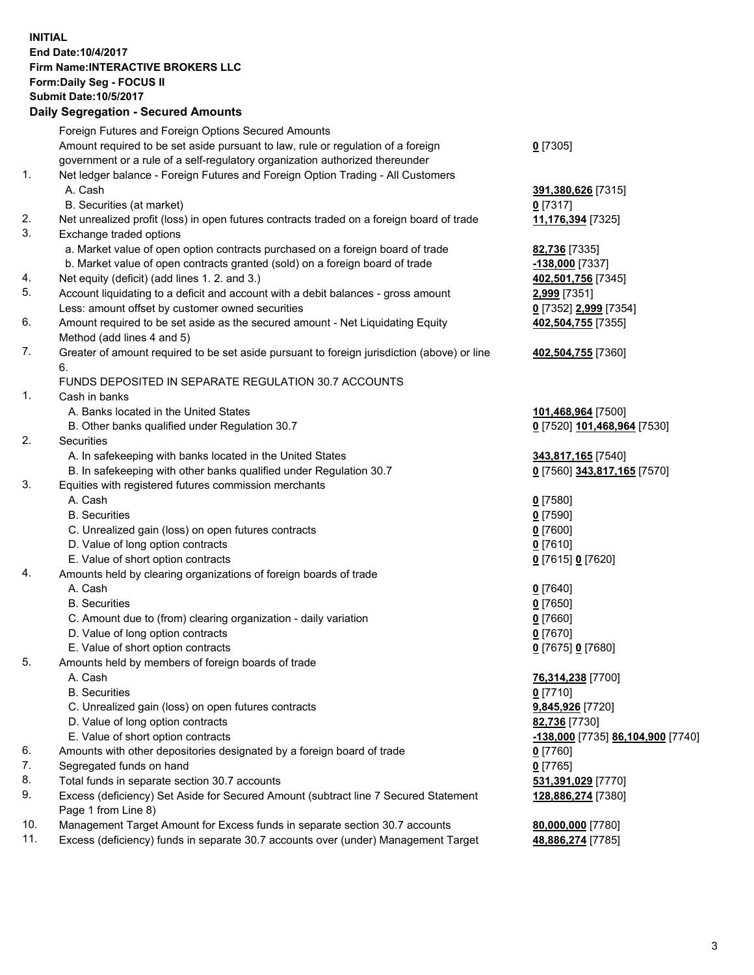## **INITIAL End Date:10/4/2017 Firm Name:INTERACTIVE BROKERS LLC Form:Daily Seg - FOCUS II Submit Date:10/5/2017 Daily Segregation - Secured Amounts**

|     | <b>Pany Obyroganon</b> Obbarba Annoann                                                      |                                                 |
|-----|---------------------------------------------------------------------------------------------|-------------------------------------------------|
|     | Foreign Futures and Foreign Options Secured Amounts                                         |                                                 |
|     | Amount required to be set aside pursuant to law, rule or regulation of a foreign            | $0$ [7305]                                      |
|     | government or a rule of a self-regulatory organization authorized thereunder                |                                                 |
| 1.  | Net ledger balance - Foreign Futures and Foreign Option Trading - All Customers             |                                                 |
|     | A. Cash                                                                                     | 391,380,626 [7315]                              |
|     | B. Securities (at market)                                                                   | $0$ [7317]                                      |
| 2.  | Net unrealized profit (loss) in open futures contracts traded on a foreign board of trade   | 11,176,394 [7325]                               |
| 3.  | Exchange traded options                                                                     |                                                 |
|     | a. Market value of open option contracts purchased on a foreign board of trade              | 82,736 [7335]                                   |
|     | b. Market value of open contracts granted (sold) on a foreign board of trade                | -138,000 [7337]                                 |
| 4.  | Net equity (deficit) (add lines 1.2. and 3.)                                                | 402,501,756 [7345]                              |
| 5.  | Account liquidating to a deficit and account with a debit balances - gross amount           | 2,999 [7351]                                    |
|     | Less: amount offset by customer owned securities                                            | 0 [7352] 2,999 [7354]                           |
| 6.  | Amount required to be set aside as the secured amount - Net Liquidating Equity              | 402,504,755 [7355]                              |
|     | Method (add lines 4 and 5)                                                                  |                                                 |
| 7.  | Greater of amount required to be set aside pursuant to foreign jurisdiction (above) or line | 402,504,755 [7360]                              |
|     | 6.                                                                                          |                                                 |
|     | FUNDS DEPOSITED IN SEPARATE REGULATION 30.7 ACCOUNTS                                        |                                                 |
| 1.  | Cash in banks                                                                               |                                                 |
|     | A. Banks located in the United States                                                       | 101,468,964 [7500]                              |
|     | B. Other banks qualified under Regulation 30.7                                              | 0 [7520] 101,468,964 [7530]                     |
| 2.  | Securities                                                                                  |                                                 |
|     | A. In safekeeping with banks located in the United States                                   | 343,817,165 [7540]                              |
|     | B. In safekeeping with other banks qualified under Regulation 30.7                          | 0 [7560] 343,817,165 [7570]                     |
| 3.  | Equities with registered futures commission merchants                                       |                                                 |
|     | A. Cash                                                                                     | $0$ [7580]                                      |
|     | <b>B.</b> Securities                                                                        | $0$ [7590]                                      |
|     | C. Unrealized gain (loss) on open futures contracts                                         | $0$ [7600]                                      |
|     | D. Value of long option contracts                                                           | $0$ [7610]                                      |
|     | E. Value of short option contracts                                                          | 0 [7615] 0 [7620]                               |
| 4.  | Amounts held by clearing organizations of foreign boards of trade                           |                                                 |
|     | A. Cash                                                                                     | $0$ [7640]                                      |
|     | <b>B.</b> Securities                                                                        | $0$ [7650]                                      |
|     | C. Amount due to (from) clearing organization - daily variation                             | $0$ [7660]                                      |
|     | D. Value of long option contracts                                                           | $0$ [7670]                                      |
|     | E. Value of short option contracts                                                          | 0 [7675] 0 [7680]                               |
| 5.  | Amounts held by members of foreign boards of trade                                          |                                                 |
|     | A. Cash                                                                                     | 76,314,238 [7700]                               |
|     | <b>B.</b> Securities                                                                        | $0$ [7710]                                      |
|     | C. Unrealized gain (loss) on open futures contracts                                         | 9,845,926 [7720]                                |
|     |                                                                                             |                                                 |
|     | D. Value of long option contracts                                                           | 82,736 [7730]                                   |
|     | E. Value of short option contracts                                                          | <u>-138,000</u> [7735] <b>86,104,900</b> [7740] |
| 6.  | Amounts with other depositories designated by a foreign board of trade                      | $0$ [7760]                                      |
| 7.  | Segregated funds on hand                                                                    | $0$ [7765]                                      |
| 8.  | Total funds in separate section 30.7 accounts                                               | 531,391,029 [7770]                              |
| 9.  | Excess (deficiency) Set Aside for Secured Amount (subtract line 7 Secured Statement         | 128,886,274 [7380]                              |
|     | Page 1 from Line 8)                                                                         |                                                 |
| 10. | Management Target Amount for Excess funds in separate section 30.7 accounts                 | 80,000,000 [7780]                               |
| 11. | Excess (deficiency) funds in separate 30.7 accounts over (under) Management Target          | 48,886,274 [7785]                               |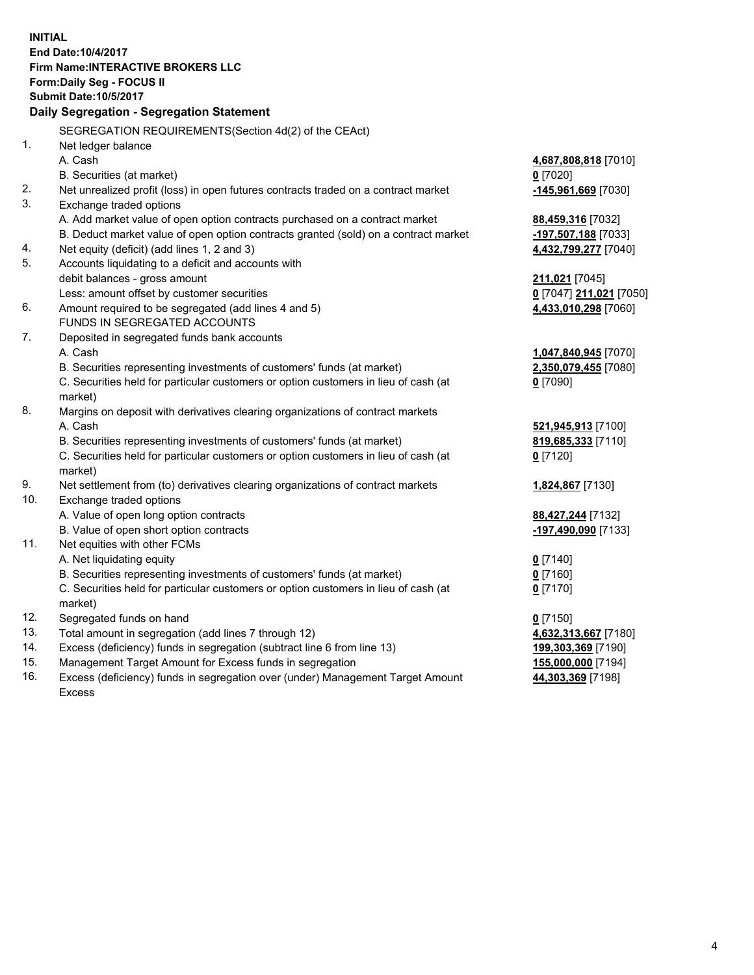**INITIAL End Date:10/4/2017 Firm Name:INTERACTIVE BROKERS LLC Form:Daily Seg - FOCUS II Submit Date:10/5/2017 Daily Segregation - Segregation Statement** SEGREGATION REQUIREMENTS(Section 4d(2) of the CEAct) 1. Net ledger balance A. Cash **4,687,808,818** [7010] B. Securities (at market) **0** [7020] 2. Net unrealized profit (loss) in open futures contracts traded on a contract market **-145,961,669** [7030] 3. Exchange traded options A. Add market value of open option contracts purchased on a contract market **88,459,316** [7032] B. Deduct market value of open option contracts granted (sold) on a contract market **-197,507,188** [7033] 4. Net equity (deficit) (add lines 1, 2 and 3) **4,432,799,277** [7040] 5. Accounts liquidating to a deficit and accounts with debit balances - gross amount **211,021** [7045] Less: amount offset by customer securities **0** [7047] **211,021** [7050] 6. Amount required to be segregated (add lines 4 and 5) **4,433,010,298** [7060] FUNDS IN SEGREGATED ACCOUNTS 7. Deposited in segregated funds bank accounts A. Cash **1,047,840,945** [7070] B. Securities representing investments of customers' funds (at market) **2,350,079,455** [7080] C. Securities held for particular customers or option customers in lieu of cash (at market) **0** [7090] 8. Margins on deposit with derivatives clearing organizations of contract markets A. Cash **521,945,913** [7100] B. Securities representing investments of customers' funds (at market) **819,685,333** [7110] C. Securities held for particular customers or option customers in lieu of cash (at market) **0** [7120] 9. Net settlement from (to) derivatives clearing organizations of contract markets **1,824,867** [7130] 10. Exchange traded options A. Value of open long option contracts **88,427,244** [7132] B. Value of open short option contracts **-197,490,090** [7133] 11. Net equities with other FCMs A. Net liquidating equity **0** [7140] B. Securities representing investments of customers' funds (at market) **0** [7160] C. Securities held for particular customers or option customers in lieu of cash (at market) **0** [7170] 12. Segregated funds on hand **0** [7150] 13. Total amount in segregation (add lines 7 through 12) **4,632,313,667** [7180] 14. Excess (deficiency) funds in segregation (subtract line 6 from line 13) **199,303,369** [7190] 15. Management Target Amount for Excess funds in segregation **155,000,000** [7194] 16. Excess (deficiency) funds in segregation over (under) Management Target Amount **44,303,369** [7198]

Excess